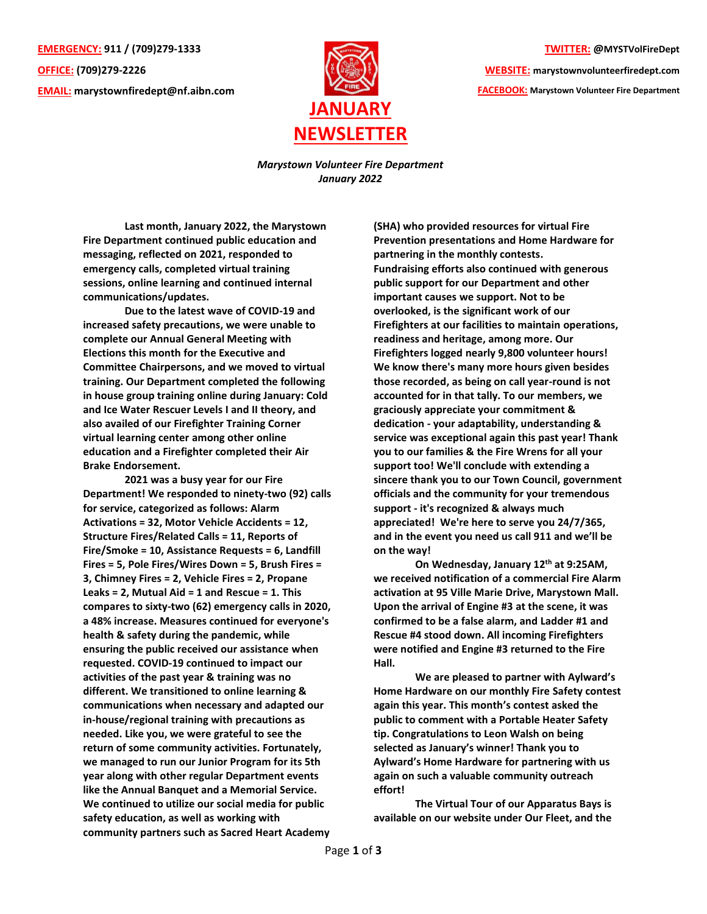**EMERGENCY: 911 / (709)279-1333 OFFICE: (709)279-2226 EMAIL: [marystownfiredept@nf.aibn.com](mailto:marystownfiredept@nf.aibn.com)**



**TWITTER: @MYSTVolFireDept**

**WEBSITE: marystownvolunteerfiredept.com FACEBOOK: Marystown Volunteer Fire Department**

*Marystown Volunteer Fire Department January 2022*

**Last month, January 2022, the Marystown Fire Department continued public education and messaging, reflected on 2021, responded to emergency calls, completed virtual training sessions, online learning and continued internal communications/updates.**

**Due to the latest wave of COVID-19 and increased safety precautions, we were unable to complete our Annual General Meeting with Elections this month for the Executive and Committee Chairpersons, and we moved to virtual training. Our Department completed the following in house group training online during January: Cold and Ice Water Rescuer Levels I and II theory, and also availed of our Firefighter Training Corner virtual learning center among other online education and a Firefighter completed their Air Brake Endorsement.**

**2021 was a busy year for our Fire Department! We responded to ninety-two (92) calls for service, categorized as follows: Alarm Activations = 32, Motor Vehicle Accidents = 12, Structure Fires/Related Calls = 11, Reports of Fire/Smoke = 10, Assistance Requests = 6, Landfill Fires = 5, Pole Fires/Wires Down = 5, Brush Fires = 3, Chimney Fires = 2, Vehicle Fires = 2, Propane Leaks = 2, Mutual Aid = 1 and Rescue = 1. This compares to sixty-two (62) emergency calls in 2020, a 48% increase. Measures continued for everyone's health & safety during the pandemic, while ensuring the public received our assistance when requested. COVID-19 continued to impact our activities of the past year & training was no different. We transitioned to online learning & communications when necessary and adapted our in-house/regional training with precautions as needed. Like you, we were grateful to see the return of some community activities. Fortunately, we managed to run our Junior Program for its 5th year along with other regular Department events like the Annual Banquet and a Memorial Service. We continued to utilize our social media for public safety education, as well as working with community partners such as Sacred Heart Academy**

**(SHA) who provided resources for virtual Fire Prevention presentations and Home Hardware for partnering in the monthly contests. Fundraising efforts also continued with generous public support for our Department and other important causes we support. Not to be overlooked, is the significant work of our Firefighters at our facilities to maintain operations, readiness and heritage, among more. Our Firefighters logged nearly 9,800 volunteer hours! We know there's many more hours given besides those recorded, as being on call year-round is not accounted for in that tally. To our members, we graciously appreciate your commitment & dedication - your adaptability, understanding & service was exceptional again this past year! Thank you to our families & the Fire Wrens for all your support too! We'll conclude with extending a sincere thank you to our Town Council, government officials and the community for your tremendous support - it's recognized & always much appreciated! We're here to serve you 24/7/365, and in the event you need us call 911 and we'll be on the way!**

**On Wednesday, January 12th at 9:25AM, we received notification of a commercial Fire Alarm activation at 95 Ville Marie Drive, Marystown Mall. Upon the arrival of Engine #3 at the scene, it was confirmed to be a false alarm, and Ladder #1 and Rescue #4 stood down. All incoming Firefighters were notified and Engine #3 returned to the Fire Hall.**

**We are pleased to partner with Aylward's Home Hardware on our monthly Fire Safety contest again this year. This month's contest asked the public to comment with a Portable Heater Safety tip. Congratulations to Leon Walsh on being selected as January's winner! Thank you to Aylward's Home Hardware for partnering with us again on such a valuable community outreach effort!**

**The Virtual Tour of our Apparatus Bays is available on our website under Our Fleet, and the**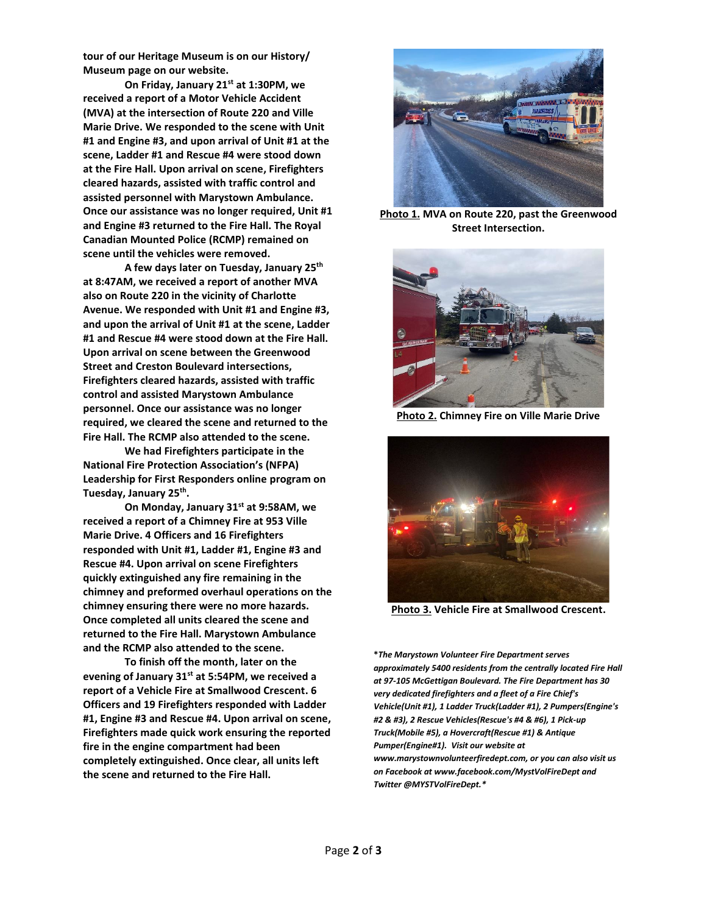**tour of our Heritage Museum is on our History/ Museum page on our website.** 

**On Friday, January 21st at 1:30PM, we received a report of a Motor Vehicle Accident (MVA) at the intersection of Route 220 and Ville Marie Drive. We responded to the scene with Unit #1 and Engine #3, and upon arrival of Unit #1 at the scene, Ladder #1 and Rescue #4 were stood down at the Fire Hall. Upon arrival on scene, Firefighters cleared hazards, assisted with traffic control and assisted personnel with Marystown Ambulance. Once our assistance was no longer required, Unit #1 and Engine #3 returned to the Fire Hall. The Royal Canadian Mounted Police (RCMP) remained on scene until the vehicles were removed.**

**A few days later on Tuesday, January 25th at 8:47AM, we received a report of another MVA also on Route 220 in the vicinity of Charlotte Avenue. We responded with Unit #1 and Engine #3, and upon the arrival of Unit #1 at the scene, Ladder #1 and Rescue #4 were stood down at the Fire Hall. Upon arrival on scene between the Greenwood Street and Creston Boulevard intersections, Firefighters cleared hazards, assisted with traffic control and assisted Marystown Ambulance personnel. Once our assistance was no longer required, we cleared the scene and returned to the Fire Hall. The RCMP also attended to the scene.**

**We had Firefighters participate in the National Fire Protection Association's (NFPA) Leadership for First Responders online program on Tuesday, January 25th .**

**On Monday, January 31st at 9:58AM, we received a report of a Chimney Fire at 953 Ville Marie Drive. 4 Officers and 16 Firefighters responded with Unit #1, Ladder #1, Engine #3 and Rescue #4. Upon arrival on scene Firefighters quickly extinguished any fire remaining in the chimney and preformed overhaul operations on the chimney ensuring there were no more hazards. Once completed all units cleared the scene and returned to the Fire Hall. Marystown Ambulance and the RCMP also attended to the scene.** 

**To finish off the month, later on the evening of January 31st at 5:54PM, we received a report of a Vehicle Fire at Smallwood Crescent. 6 Officers and 19 Firefighters responded with Ladder #1, Engine #3 and Rescue #4. Upon arrival on scene, Firefighters made quick work ensuring the reported fire in the engine compartment had been completely extinguished. Once clear, all units left the scene and returned to the Fire Hall.** 



**Photo 1. MVA on Route 220, past the Greenwood Street Intersection.**



**Photo 2. Chimney Fire on Ville Marie Drive**



**Photo 3. Vehicle Fire at Smallwood Crescent.**

**\****The Marystown Volunteer Fire Department serves approximately 5400 residents from the centrally located Fire Hall at 97-105 McGettigan Boulevard. The Fire Department has 30 very dedicated firefighters and a fleet of a Fire Chief's Vehicle(Unit #1), 1 Ladder Truck(Ladder #1), 2 Pumpers(Engine's #2 & #3), 2 Rescue Vehicles(Rescue's #4 & #6), 1 Pick-up Truck(Mobile #5), a Hovercraft(Rescue #1) & Antique Pumper(Engine#1). Visit our website at www.marystownvolunteerfiredept.com, or you can also visit us on Facebook at www.facebook.com/MystVolFireDept and Twitter @MYSTVolFireDept.\**